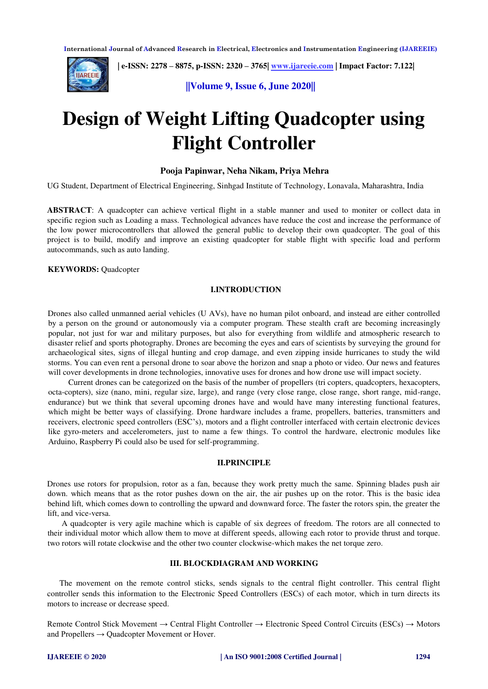

 **| e-ISSN: 2278 – 8875, p-ISSN: 2320 – 3765[| www.ijareeie.com](http://www.ijareeie.com/) | Impact Factor: 7.122|** 

**||Volume 9, Issue 6, June 2020||** 

# **Design of Weight Lifting Quadcopter using Flight Controller**

#### **Pooja Papinwar, Neha Nikam, Priya Mehra**

UG Student, Department of Electrical Engineering, Sinhgad Institute of Technology, Lonavala, Maharashtra, India

**ABSTRACT**: A quadcopter can achieve vertical flight in a stable manner and used to moniter or collect data in specific region such as Loading a mass. Technological advances have reduce the cost and increase the performance of the low power microcontrollers that allowed the general public to develop their own quadcopter. The goal of this project is to build, modify and improve an existing quadcopter for stable flight with specific load and perform autocommands, such as auto landing.

**KEYWORDS:** Quadcopter

#### **I.INTRODUCTION**

Drones also called unmanned aerial vehicles (U AVs), have no human pilot onboard, and instead are either controlled by a person on the ground or autonomously via a computer program. These stealth craft are becoming increasingly popular, not just for war and military purposes, but also for everything from wildlife and atmospheric research to disaster relief and sports photography. Drones are becoming the eyes and ears of scientists by surveying the ground for archaeological sites, signs of illegal hunting and crop damage, and even zipping inside hurricanes to study the wild storms. You can even rent a personal drone to soar above the horizon and snap a photo or video. Our news and features will cover developments in drone technologies, innovative uses for drones and how drone use will impact society.

 Current drones can be categorized on the basis of the number of propellers (tri copters, quadcopters, hexacopters, octa-copters), size (nano, mini, regular size, large), and range (very close range, close range, short range, mid-range, endurance) but we think that several upcoming drones have and would have many interesting functional features, which might be better ways of classifying. Drone hardware includes a frame, propellers, batteries, transmitters and receivers, electronic speed controllers (ESC's), motors and a flight controller interfaced with certain electronic devices like gyro-meters and accelerometers, just to name a few things. To control the hardware, electronic modules like Arduino, Raspberry Pi could also be used for self-programming.

# **II.PRINCIPLE**

Drones use rotors for propulsion, rotor as a fan, because they work pretty much the same. Spinning blades push air down. which means that as the rotor pushes down on the air, the air pushes up on the rotor. This is the basic idea behind lift, which comes down to controlling the upward and downward force. The faster the rotors spin, the greater the lift, and vice-versa.

 A quadcopter is very agile machine which is capable of six degrees of freedom. The rotors are all connected to their individual motor which allow them to move at different speeds, allowing each rotor to provide thrust and torque. two rotors will rotate clockwise and the other two counter clockwise-which makes the net torque zero.

# **III. BLOCKDIAGRAM AND WORKING**

 The movement on the remote control sticks, sends signals to the central flight controller. This central flight controller sends this information to the Electronic Speed Controllers (ESCs) of each motor, which in turn directs its motors to increase or decrease speed.

Remote Control Stick Movement → Central Flight Controller → Electronic Speed Control Circuits (ESCs) → Motors and Propellers  $\rightarrow$  Quadcopter Movement or Hover.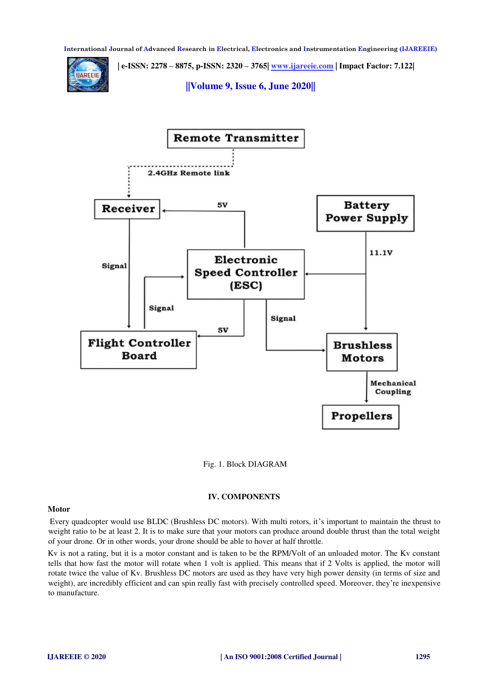**| e-ISSN: 2278 – 8875, p-ISSN: 2320 – 3765[| www.ijareeie.com](http://www.ijareeie.com/) | Impact Factor: 7.122|** 



**||Volume 9, Issue 6, June 2020||** 



Fig. 1. Block DIAGRAM

# **IV. COMPONENTS**

#### **Motor**

 Every quadcopter would use BLDC (Brushless DC motors). With multi rotors, it's important to maintain the thrust to weight ratio to be at least 2. It is to make sure that your motors can produce around double thrust than the total weight of your drone. Or in other words, your drone should be able to hover at half throttle.

Kv is not a rating, but it is a motor constant and is taken to be the RPM/Volt of an unloaded motor. The Kv constant tells that how fast the motor will rotate when 1 volt is applied. This means that if 2 Volts is applied, the motor will rotate twice the value of Kv. Brushless DC motors are used as they have very high power density (in terms of size and weight), are incredibly efficient and can spin really fast with precisely controlled speed. Moreover, they're inexpensive to manufacture.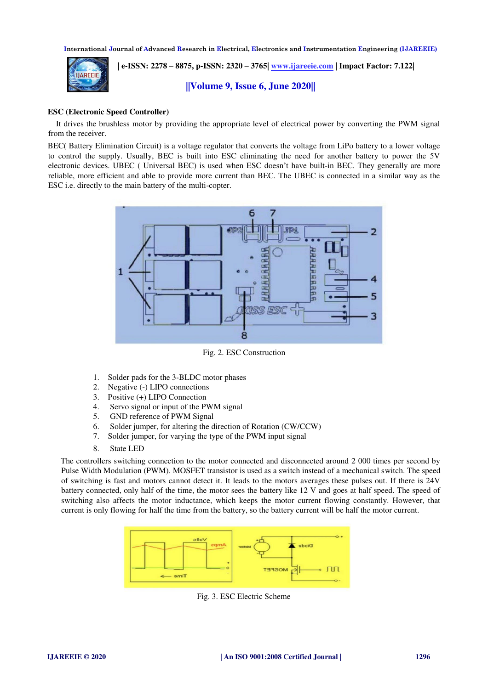

 **| e-ISSN: 2278 – 8875, p-ISSN: 2320 – 3765[| www.ijareeie.com](http://www.ijareeie.com/) | Impact Factor: 7.122|** 

**||Volume 9, Issue 6, June 2020||** 

# **ESC (Electronic Speed Controller)**

 It drives the brushless motor by providing the appropriate level of electrical power by converting the PWM signal from the receiver.

BEC( Battery Elimination Circuit) is a voltage regulator that converts the voltage from LiPo battery to a lower voltage to control the supply. Usually, BEC is built into ESC eliminating the need for another battery to power the 5V electronic devices. UBEC ( Universal BEC) is used when ESC doesn't have built-in BEC. They generally are more reliable, more efficient and able to provide more current than BEC. The UBEC is connected in a similar way as the ESC i.e. directly to the main battery of the multi-copter.



Fig. 2. ESC Construction

- 1. Solder pads for the 3-BLDC motor phases
- 2. Negative (-) LIPO connections
- 3. Positive (+) LIPO Connection
- 4. Servo signal or input of the PWM signal
- 5. GND reference of PWM Signal
- 6. Solder jumper, for altering the direction of Rotation (CW/CCW)
- 7. Solder jumper, for varying the type of the PWM input signal
- 8. State LED

The controllers switching connection to the motor connected and disconnected around 2 000 times per second by Pulse Width Modulation (PWM). MOSFET transistor is used as a switch instead of a mechanical switch. The speed of switching is fast and motors cannot detect it. It leads to the motors averages these pulses out. If there is 24V battery connected, only half of the time, the motor sees the battery like 12 V and goes at half speed. The speed of switching also affects the motor inductance, which keeps the motor current flowing constantly. However, that current is only flowing for half the time from the battery, so the battery current will be half the motor current.



Fig. 3. ESC Electric Scheme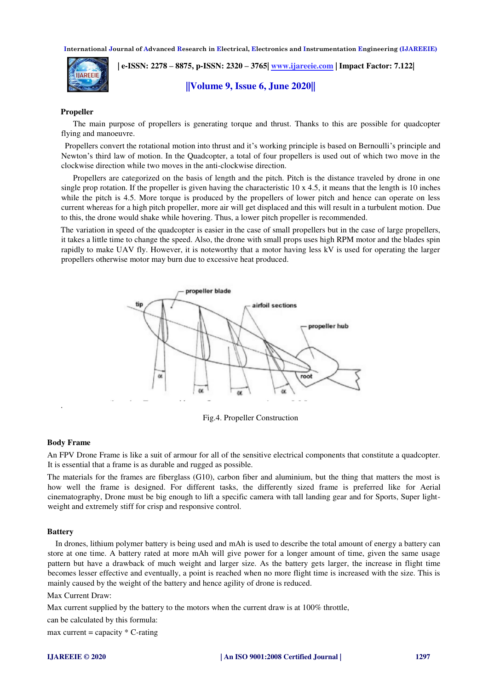

 **| e-ISSN: 2278 – 8875, p-ISSN: 2320 – 3765[| www.ijareeie.com](http://www.ijareeie.com/) | Impact Factor: 7.122|** 

**||Volume 9, Issue 6, June 2020||** 

#### **Propeller**

 The main purpose of propellers is generating torque and thrust. Thanks to this are possible for quadcopter flying and manoeuvre.

 Propellers convert the rotational motion into thrust and it's working principle is based on Bernoulli's principle and Newton's third law of motion. In the Quadcopter, a total of four propellers is used out of which two move in the clockwise direction while two moves in the anti-clockwise direction.

 Propellers are categorized on the basis of length and the pitch. Pitch is the distance traveled by drone in one single prop rotation. If the propeller is given having the characteristic  $10 \times 4.5$ , it means that the length is 10 inches while the pitch is 4.5. More torque is produced by the propellers of lower pitch and hence can operate on less current whereas for a high pitch propeller, more air will get displaced and this will result in a turbulent motion. Due to this, the drone would shake while hovering. Thus, a lower pitch propeller is recommended.

The variation in speed of the quadcopter is easier in the case of small propellers but in the case of large propellers, it takes a little time to change the speed. Also, the drone with small props uses high RPM motor and the blades spin rapidly to make UAV fly. However, it is noteworthy that a motor having less kV is used for operating the larger propellers otherwise motor may burn due to excessive heat produced.



Fig.4. Propeller Construction

#### **Body Frame**

.

An FPV Drone Frame is like a suit of armour for all of the sensitive electrical components that constitute a quadcopter. It is essential that a frame is as durable and rugged as possible.

The materials for the frames are fiberglass (G10), carbon fiber and aluminium, but the thing that matters the most is how well the frame is designed. For different tasks, the differently sized frame is preferred like for Aerial cinematography, Drone must be big enough to lift a specific camera with tall landing gear and for Sports, Super lightweight and extremely stiff for crisp and responsive control.

#### **Battery**

 In drones, lithium polymer battery is being used and mAh is used to describe the total amount of energy a battery can store at one time. A battery rated at more mAh will give power for a longer amount of time, given the same usage pattern but have a drawback of much weight and larger size. As the battery gets larger, the increase in flight time becomes lesser effective and eventually, a point is reached when no more flight time is increased with the size. This is mainly caused by the weight of the battery and hence agility of drone is reduced.

Max Current Draw:

Max current supplied by the battery to the motors when the current draw is at 100% throttle,

can be calculated by this formula:

max current = capacity  $*$  C-rating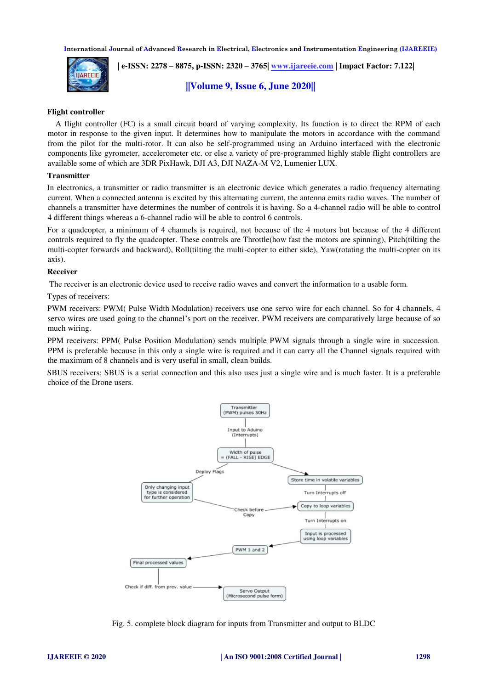

 **| e-ISSN: 2278 – 8875, p-ISSN: 2320 – 3765[| www.ijareeie.com](http://www.ijareeie.com/) | Impact Factor: 7.122|** 

**||Volume 9, Issue 6, June 2020||** 

# **Flight controller**

 A flight controller (FC) is a small circuit board of varying complexity. Its function is to direct the RPM of each motor in response to the given input. It determines how to manipulate the motors in accordance with the command from the pilot for the multi-rotor. It can also be self-programmed using an Arduino interfaced with the electronic components like gyrometer, accelerometer etc. or else a variety of pre-programmed highly stable flight controllers are available some of which are 3DR PixHawk, DJI A3, DJI NAZA-M V2, Lumenier LUX.

# **Transmitter**

In electronics, a transmitter or radio transmitter is an electronic device which generates a radio frequency alternating current. When a connected antenna is excited by this alternating current, the antenna emits radio waves. The number of channels a transmitter have determines the number of controls it is having. So a 4-channel radio will be able to control 4 different things whereas a 6-channel radio will be able to control 6 controls.

For a quadcopter, a minimum of 4 channels is required, not because of the 4 motors but because of the 4 different controls required to fly the quadcopter. These controls are Throttle(how fast the motors are spinning), Pitch(tilting the multi-copter forwards and backward), Roll(tilting the multi-copter to either side), Yaw(rotating the multi-copter on its axis).

#### **Receiver**

The receiver is an electronic device used to receive radio waves and convert the information to a usable form.

Types of receivers:

PWM receivers: PWM( Pulse Width Modulation) receivers use one servo wire for each channel. So for 4 channels, 4 servo wires are used going to the channel's port on the receiver. PWM receivers are comparatively large because of so much wiring.

PPM receivers: PPM( Pulse Position Modulation) sends multiple PWM signals through a single wire in succession. PPM is preferable because in this only a single wire is required and it can carry all the Channel signals required with the maximum of 8 channels and is very useful in small, clean builds.

SBUS receivers: SBUS is a serial connection and this also uses just a single wire and is much faster. It is a preferable choice of the Drone users.



Fig. 5. complete block diagram for inputs from Transmitter and output to BLDC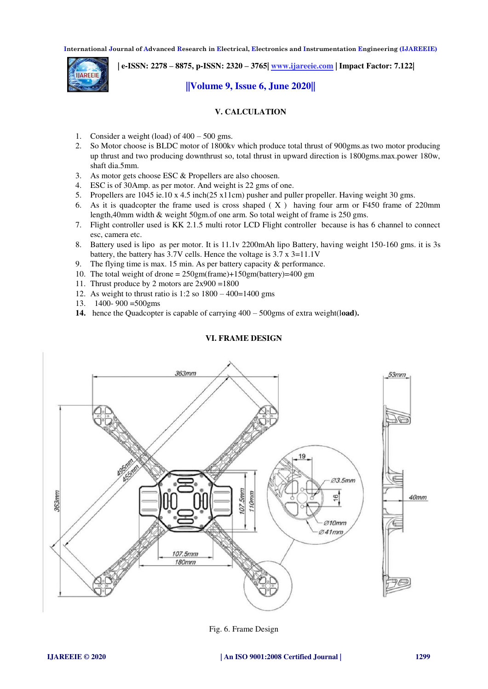**| e-ISSN: 2278 – 8875, p-ISSN: 2320 – 3765[| www.ijareeie.com](http://www.ijareeie.com/) | Impact Factor: 7.122|** 

# **||Volume 9, Issue 6, June 2020||**

# **V. CALCULATION**

- 1. Consider a weight (load) of  $400 500$  gms.
- 2. So Motor choose is BLDC motor of 1800kv which produce total thrust of 900gms.as two motor producing up thrust and two producing downthrust so, total thrust in upward direction is 1800gms.max.power 180w, shaft dia.5mm.
- 3. As motor gets choose ESC & Propellers are also choosen.
- 4. ESC is of 30Amp. as per motor. And weight is 22 gms of one.
- 5. Propellers are 1045 ie.10 x 4.5 inch(25 x11cm) pusher and puller propeller. Having weight 30 gms.
- 6. As it is quadcopter the frame used is cross shaped ( X ) having four arm or F450 frame of 220mm length,40mm width & weight 50gm.of one arm. So total weight of frame is 250 gms.
- 7. Flight controller used is KK 2.1.5 multi rotor LCD Flight controller because is has 6 channel to connect esc, camera etc.
- 8. Battery used is lipo as per motor. It is 11.1v 2200mAh lipo Battery, having weight 150-160 gms. it is 3s battery, the battery has 3.7V cells. Hence the voltage is 3.7 x 3=11.1V
- 9. The flying time is max. 15 min. As per battery capacity & performance.
- 10. The total weight of drone = 250gm(frame)+150gm(battery)=400 gm
- 11. Thrust produce by 2 motors are 2x900 =1800
- 12. As weight to thrust ratio is  $1:2$  so  $1800 400 = 1400$  gms
- 13. 1400- 900 =500gms
- **14.** hence the Quadcopter is capable of carrying 400 500gms of extra weight(l**oad).**



# **VI. FRAME DESIGN**

Fig. 6. Frame Design